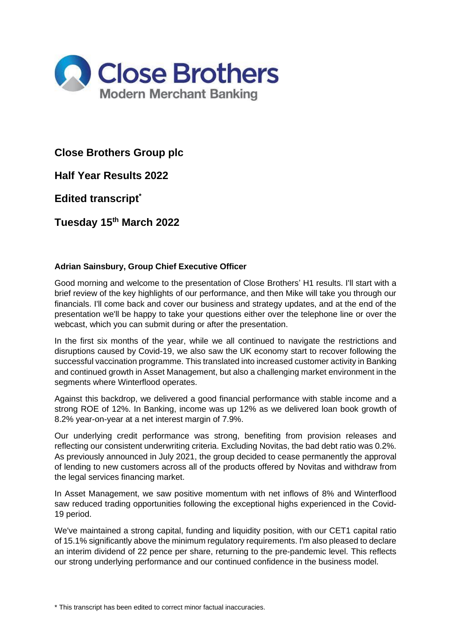

# **Close Brothers Group plc**

**Half Year Results 2022**

**Edited transcript\***

**Tuesday 15th March 2022**

# **Adrian Sainsbury, Group Chief Executive Officer**

Good morning and welcome to the presentation of Close Brothers' H1 results. I'll start with a brief review of the key highlights of our performance, and then Mike will take you through our financials. I'll come back and cover our business and strategy updates, and at the end of the presentation we'll be happy to take your questions either over the telephone line or over the webcast, which you can submit during or after the presentation.

In the first six months of the year, while we all continued to navigate the restrictions and disruptions caused by Covid-19, we also saw the UK economy start to recover following the successful vaccination programme. This translated into increased customer activity in Banking and continued growth in Asset Management, but also a challenging market environment in the segments where Winterflood operates.

Against this backdrop, we delivered a good financial performance with stable income and a strong ROE of 12%. In Banking, income was up 12% as we delivered loan book growth of 8.2% year-on-year at a net interest margin of 7.9%.

Our underlying credit performance was strong, benefiting from provision releases and reflecting our consistent underwriting criteria. Excluding Novitas, the bad debt ratio was 0.2%. As previously announced in July 2021, the group decided to cease permanently the approval of lending to new customers across all of the products offered by Novitas and withdraw from the legal services financing market.

In Asset Management, we saw positive momentum with net inflows of 8% and Winterflood saw reduced trading opportunities following the exceptional highs experienced in the Covid-19 period.

We've maintained a strong capital, funding and liquidity position, with our CET1 capital ratio of 15.1% significantly above the minimum regulatory requirements. I'm also pleased to declare an interim dividend of 22 pence per share, returning to the pre-pandemic level. This reflects our strong underlying performance and our continued confidence in the business model.

\* This transcript has been edited to correct minor factual inaccuracies.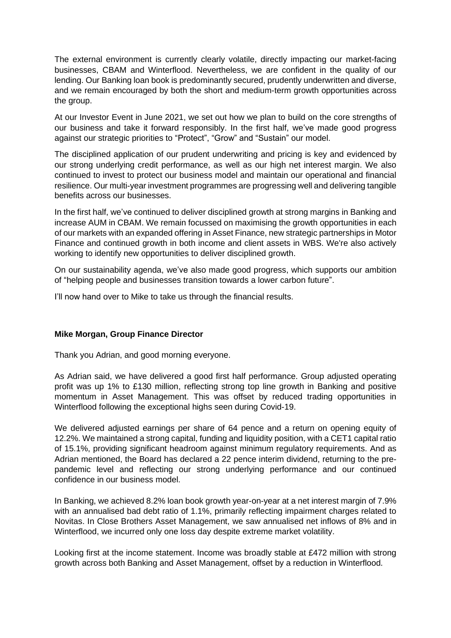The external environment is currently clearly volatile, directly impacting our market-facing businesses, CBAM and Winterflood. Nevertheless, we are confident in the quality of our lending. Our Banking loan book is predominantly secured, prudently underwritten and diverse, and we remain encouraged by both the short and medium-term growth opportunities across the group.

At our Investor Event in June 2021, we set out how we plan to build on the core strengths of our business and take it forward responsibly. In the first half, we've made good progress against our strategic priorities to "Protect", "Grow" and "Sustain" our model.

The disciplined application of our prudent underwriting and pricing is key and evidenced by our strong underlying credit performance, as well as our high net interest margin. We also continued to invest to protect our business model and maintain our operational and financial resilience. Our multi-year investment programmes are progressing well and delivering tangible benefits across our businesses.

In the first half, we've continued to deliver disciplined growth at strong margins in Banking and increase AUM in CBAM. We remain focussed on maximising the growth opportunities in each of our markets with an expanded offering in Asset Finance, new strategic partnerships in Motor Finance and continued growth in both income and client assets in WBS. We're also actively working to identify new opportunities to deliver disciplined growth.

On our sustainability agenda, we've also made good progress, which supports our ambition of "helping people and businesses transition towards a lower carbon future".

I'll now hand over to Mike to take us through the financial results.

## **Mike Morgan, Group Finance Director**

Thank you Adrian, and good morning everyone.

As Adrian said, we have delivered a good first half performance. Group adjusted operating profit was up 1% to £130 million, reflecting strong top line growth in Banking and positive momentum in Asset Management. This was offset by reduced trading opportunities in Winterflood following the exceptional highs seen during Covid-19.

We delivered adjusted earnings per share of 64 pence and a return on opening equity of 12.2%. We maintained a strong capital, funding and liquidity position, with a CET1 capital ratio of 15.1%, providing significant headroom against minimum regulatory requirements. And as Adrian mentioned, the Board has declared a 22 pence interim dividend, returning to the prepandemic level and reflecting our strong underlying performance and our continued confidence in our business model.

In Banking, we achieved 8.2% loan book growth year-on-year at a net interest margin of 7.9% with an annualised bad debt ratio of 1.1%, primarily reflecting impairment charges related to Novitas. In Close Brothers Asset Management, we saw annualised net inflows of 8% and in Winterflood, we incurred only one loss day despite extreme market volatility.

Looking first at the income statement. Income was broadly stable at £472 million with strong growth across both Banking and Asset Management, offset by a reduction in Winterflood.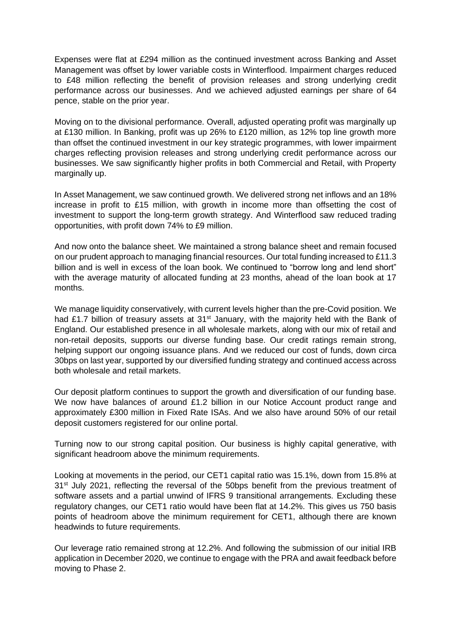Expenses were flat at £294 million as the continued investment across Banking and Asset Management was offset by lower variable costs in Winterflood. Impairment charges reduced to £48 million reflecting the benefit of provision releases and strong underlying credit performance across our businesses. And we achieved adjusted earnings per share of 64 pence, stable on the prior year.

Moving on to the divisional performance. Overall, adjusted operating profit was marginally up at £130 million. In Banking, profit was up 26% to £120 million, as 12% top line growth more than offset the continued investment in our key strategic programmes, with lower impairment charges reflecting provision releases and strong underlying credit performance across our businesses. We saw significantly higher profits in both Commercial and Retail, with Property marginally up.

In Asset Management, we saw continued growth. We delivered strong net inflows and an 18% increase in profit to £15 million, with growth in income more than offsetting the cost of investment to support the long-term growth strategy. And Winterflood saw reduced trading opportunities, with profit down 74% to £9 million.

And now onto the balance sheet. We maintained a strong balance sheet and remain focused on our prudent approach to managing financial resources. Our total funding increased to £11.3 billion and is well in excess of the loan book. We continued to "borrow long and lend short" with the average maturity of allocated funding at 23 months, ahead of the loan book at 17 months.

We manage liquidity conservatively, with current levels higher than the pre-Covid position. We had £1.7 billion of treasury assets at  $31<sup>st</sup>$  January, with the majority held with the Bank of England. Our established presence in all wholesale markets, along with our mix of retail and non-retail deposits, supports our diverse funding base. Our credit ratings remain strong, helping support our ongoing issuance plans. And we reduced our cost of funds, down circa 30bps on last year, supported by our diversified funding strategy and continued access across both wholesale and retail markets.

Our deposit platform continues to support the growth and diversification of our funding base. We now have balances of around £1.2 billion in our Notice Account product range and approximately £300 million in Fixed Rate ISAs. And we also have around 50% of our retail deposit customers registered for our online portal.

Turning now to our strong capital position. Our business is highly capital generative, with significant headroom above the minimum requirements.

Looking at movements in the period, our CET1 capital ratio was 15.1%, down from 15.8% at 31<sup>st</sup> July 2021, reflecting the reversal of the 50bps benefit from the previous treatment of software assets and a partial unwind of IFRS 9 transitional arrangements. Excluding these regulatory changes, our CET1 ratio would have been flat at 14.2%. This gives us 750 basis points of headroom above the minimum requirement for CET1, although there are known headwinds to future requirements.

Our leverage ratio remained strong at 12.2%. And following the submission of our initial IRB application in December 2020, we continue to engage with the PRA and await feedback before moving to Phase 2.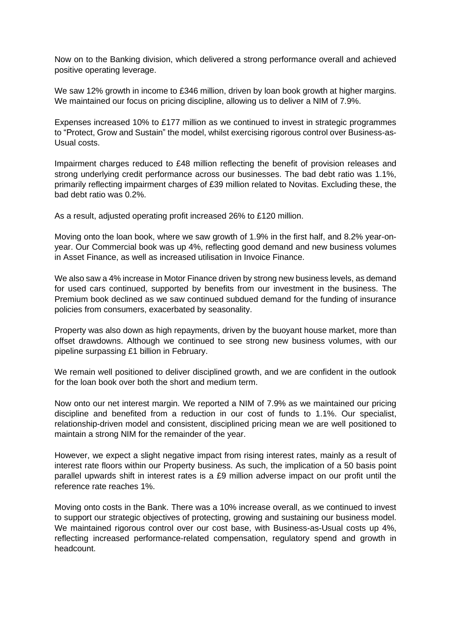Now on to the Banking division, which delivered a strong performance overall and achieved positive operating leverage.

We saw 12% growth in income to £346 million, driven by loan book growth at higher margins. We maintained our focus on pricing discipline, allowing us to deliver a NIM of 7.9%.

Expenses increased 10% to £177 million as we continued to invest in strategic programmes to "Protect, Grow and Sustain" the model, whilst exercising rigorous control over Business-as-Usual costs.

Impairment charges reduced to £48 million reflecting the benefit of provision releases and strong underlying credit performance across our businesses. The bad debt ratio was 1.1%, primarily reflecting impairment charges of £39 million related to Novitas. Excluding these, the bad debt ratio was 0.2%.

As a result, adjusted operating profit increased 26% to £120 million.

Moving onto the loan book, where we saw growth of 1.9% in the first half, and 8.2% year-onyear. Our Commercial book was up 4%, reflecting good demand and new business volumes in Asset Finance, as well as increased utilisation in Invoice Finance.

We also saw a 4% increase in Motor Finance driven by strong new business levels, as demand for used cars continued, supported by benefits from our investment in the business. The Premium book declined as we saw continued subdued demand for the funding of insurance policies from consumers, exacerbated by seasonality.

Property was also down as high repayments, driven by the buoyant house market, more than offset drawdowns. Although we continued to see strong new business volumes, with our pipeline surpassing £1 billion in February.

We remain well positioned to deliver disciplined growth, and we are confident in the outlook for the loan book over both the short and medium term.

Now onto our net interest margin. We reported a NIM of 7.9% as we maintained our pricing discipline and benefited from a reduction in our cost of funds to 1.1%. Our specialist, relationship-driven model and consistent, disciplined pricing mean we are well positioned to maintain a strong NIM for the remainder of the year.

However, we expect a slight negative impact from rising interest rates, mainly as a result of interest rate floors within our Property business. As such, the implication of a 50 basis point parallel upwards shift in interest rates is a £9 million adverse impact on our profit until the reference rate reaches 1%.

Moving onto costs in the Bank. There was a 10% increase overall, as we continued to invest to support our strategic objectives of protecting, growing and sustaining our business model. We maintained rigorous control over our cost base, with Business-as-Usual costs up 4%, reflecting increased performance-related compensation, regulatory spend and growth in headcount.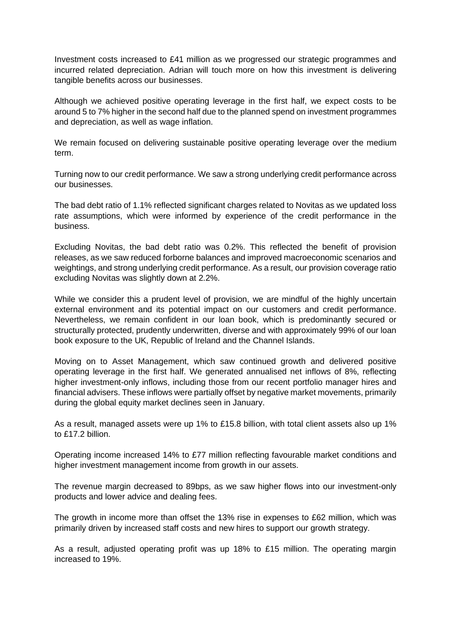Investment costs increased to £41 million as we progressed our strategic programmes and incurred related depreciation. Adrian will touch more on how this investment is delivering tangible benefits across our businesses.

Although we achieved positive operating leverage in the first half, we expect costs to be around 5 to 7% higher in the second half due to the planned spend on investment programmes and depreciation, as well as wage inflation.

We remain focused on delivering sustainable positive operating leverage over the medium term.

Turning now to our credit performance. We saw a strong underlying credit performance across our businesses.

The bad debt ratio of 1.1% reflected significant charges related to Novitas as we updated loss rate assumptions, which were informed by experience of the credit performance in the business.

Excluding Novitas, the bad debt ratio was 0.2%. This reflected the benefit of provision releases, as we saw reduced forborne balances and improved macroeconomic scenarios and weightings, and strong underlying credit performance. As a result, our provision coverage ratio excluding Novitas was slightly down at 2.2%.

While we consider this a prudent level of provision, we are mindful of the highly uncertain external environment and its potential impact on our customers and credit performance. Nevertheless, we remain confident in our loan book, which is predominantly secured or structurally protected, prudently underwritten, diverse and with approximately 99% of our loan book exposure to the UK, Republic of Ireland and the Channel Islands.

Moving on to Asset Management, which saw continued growth and delivered positive operating leverage in the first half. We generated annualised net inflows of 8%, reflecting higher investment-only inflows, including those from our recent portfolio manager hires and financial advisers. These inflows were partially offset by negative market movements, primarily during the global equity market declines seen in January.

As a result, managed assets were up 1% to £15.8 billion, with total client assets also up 1% to £17.2 billion.

Operating income increased 14% to £77 million reflecting favourable market conditions and higher investment management income from growth in our assets.

The revenue margin decreased to 89bps, as we saw higher flows into our investment-only products and lower advice and dealing fees.

The growth in income more than offset the 13% rise in expenses to £62 million, which was primarily driven by increased staff costs and new hires to support our growth strategy.

As a result, adjusted operating profit was up 18% to £15 million. The operating margin increased to 19%.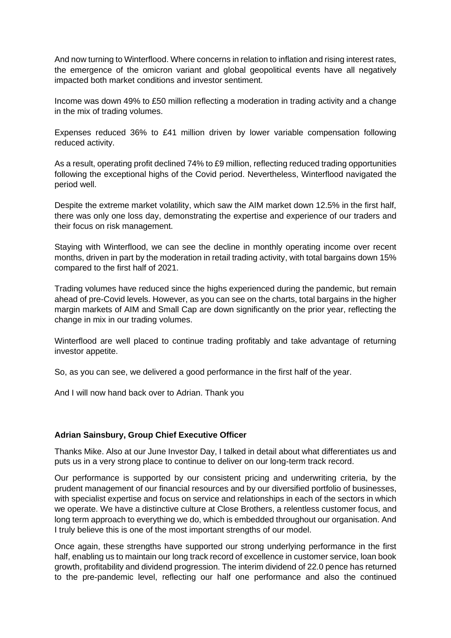And now turning to Winterflood. Where concerns in relation to inflation and rising interest rates, the emergence of the omicron variant and global geopolitical events have all negatively impacted both market conditions and investor sentiment.

Income was down 49% to £50 million reflecting a moderation in trading activity and a change in the mix of trading volumes.

Expenses reduced 36% to £41 million driven by lower variable compensation following reduced activity.

As a result, operating profit declined 74% to £9 million, reflecting reduced trading opportunities following the exceptional highs of the Covid period. Nevertheless, Winterflood navigated the period well.

Despite the extreme market volatility, which saw the AIM market down 12.5% in the first half, there was only one loss day, demonstrating the expertise and experience of our traders and their focus on risk management.

Staying with Winterflood, we can see the decline in monthly operating income over recent months, driven in part by the moderation in retail trading activity, with total bargains down 15% compared to the first half of 2021.

Trading volumes have reduced since the highs experienced during the pandemic, but remain ahead of pre-Covid levels. However, as you can see on the charts, total bargains in the higher margin markets of AIM and Small Cap are down significantly on the prior year, reflecting the change in mix in our trading volumes.

Winterflood are well placed to continue trading profitably and take advantage of returning investor appetite.

So, as you can see, we delivered a good performance in the first half of the year.

And I will now hand back over to Adrian. Thank you

## **Adrian Sainsbury, Group Chief Executive Officer**

Thanks Mike. Also at our June Investor Day, I talked in detail about what differentiates us and puts us in a very strong place to continue to deliver on our long-term track record.

Our performance is supported by our consistent pricing and underwriting criteria, by the prudent management of our financial resources and by our diversified portfolio of businesses, with specialist expertise and focus on service and relationships in each of the sectors in which we operate. We have a distinctive culture at Close Brothers, a relentless customer focus, and long term approach to everything we do, which is embedded throughout our organisation. And I truly believe this is one of the most important strengths of our model.

Once again, these strengths have supported our strong underlying performance in the first half, enabling us to maintain our long track record of excellence in customer service, loan book growth, profitability and dividend progression. The interim dividend of 22.0 pence has returned to the pre-pandemic level, reflecting our half one performance and also the continued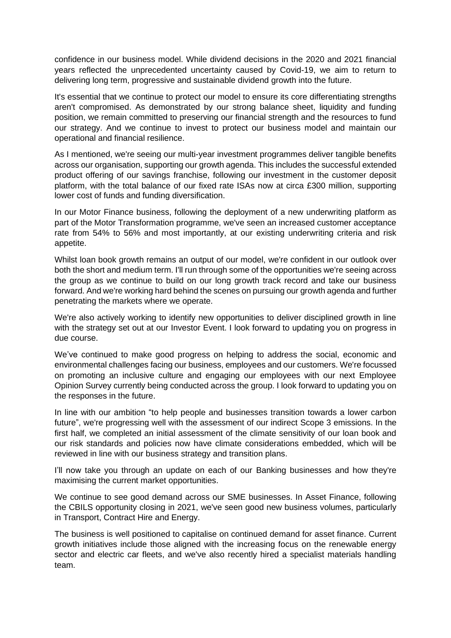confidence in our business model. While dividend decisions in the 2020 and 2021 financial years reflected the unprecedented uncertainty caused by Covid-19, we aim to return to delivering long term, progressive and sustainable dividend growth into the future.

It's essential that we continue to protect our model to ensure its core differentiating strengths aren't compromised. As demonstrated by our strong balance sheet, liquidity and funding position, we remain committed to preserving our financial strength and the resources to fund our strategy. And we continue to invest to protect our business model and maintain our operational and financial resilience.

As I mentioned, we're seeing our multi-year investment programmes deliver tangible benefits across our organisation, supporting our growth agenda. This includes the successful extended product offering of our savings franchise, following our investment in the customer deposit platform, with the total balance of our fixed rate ISAs now at circa £300 million, supporting lower cost of funds and funding diversification.

In our Motor Finance business, following the deployment of a new underwriting platform as part of the Motor Transformation programme, we've seen an increased customer acceptance rate from 54% to 56% and most importantly, at our existing underwriting criteria and risk appetite.

Whilst loan book growth remains an output of our model, we're confident in our outlook over both the short and medium term. I'll run through some of the opportunities we're seeing across the group as we continue to build on our long growth track record and take our business forward. And we're working hard behind the scenes on pursuing our growth agenda and further penetrating the markets where we operate.

We're also actively working to identify new opportunities to deliver disciplined growth in line with the strategy set out at our Investor Event. I look forward to updating you on progress in due course.

We've continued to make good progress on helping to address the social, economic and environmental challenges facing our business, employees and our customers. We're focussed on promoting an inclusive culture and engaging our employees with our next Employee Opinion Survey currently being conducted across the group. I look forward to updating you on the responses in the future.

In line with our ambition "to help people and businesses transition towards a lower carbon future", we're progressing well with the assessment of our indirect Scope 3 emissions. In the first half, we completed an initial assessment of the climate sensitivity of our loan book and our risk standards and policies now have climate considerations embedded, which will be reviewed in line with our business strategy and transition plans.

I'll now take you through an update on each of our Banking businesses and how they're maximising the current market opportunities.

We continue to see good demand across our SME businesses. In Asset Finance, following the CBILS opportunity closing in 2021, we've seen good new business volumes, particularly in Transport, Contract Hire and Energy.

The business is well positioned to capitalise on continued demand for asset finance. Current growth initiatives include those aligned with the increasing focus on the renewable energy sector and electric car fleets, and we've also recently hired a specialist materials handling team.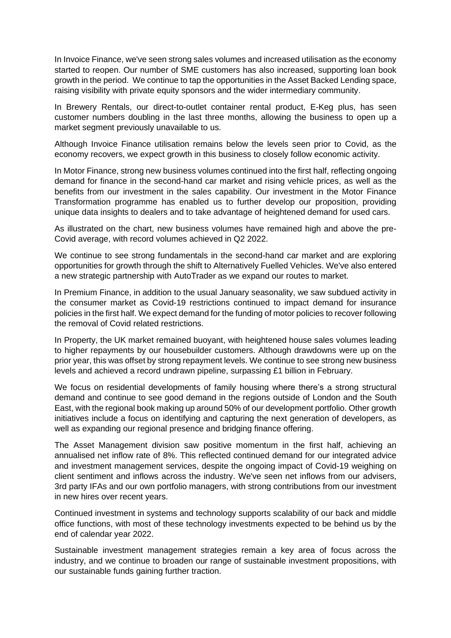In Invoice Finance, we've seen strong sales volumes and increased utilisation as the economy started to reopen. Our number of SME customers has also increased, supporting loan book growth in the period. We continue to tap the opportunities in the Asset Backed Lending space, raising visibility with private equity sponsors and the wider intermediary community.

In Brewery Rentals, our direct-to-outlet container rental product, E-Keg plus, has seen customer numbers doubling in the last three months, allowing the business to open up a market segment previously unavailable to us.

Although Invoice Finance utilisation remains below the levels seen prior to Covid, as the economy recovers, we expect growth in this business to closely follow economic activity.

In Motor Finance, strong new business volumes continued into the first half, reflecting ongoing demand for finance in the second-hand car market and rising vehicle prices, as well as the benefits from our investment in the sales capability. Our investment in the Motor Finance Transformation programme has enabled us to further develop our proposition, providing unique data insights to dealers and to take advantage of heightened demand for used cars.

As illustrated on the chart, new business volumes have remained high and above the pre-Covid average, with record volumes achieved in Q2 2022.

We continue to see strong fundamentals in the second-hand car market and are exploring opportunities for growth through the shift to Alternatively Fuelled Vehicles. We've also entered a new strategic partnership with AutoTrader as we expand our routes to market.

In Premium Finance, in addition to the usual January seasonality, we saw subdued activity in the consumer market as Covid-19 restrictions continued to impact demand for insurance policies in the first half. We expect demand for the funding of motor policies to recover following the removal of Covid related restrictions.

In Property, the UK market remained buoyant, with heightened house sales volumes leading to higher repayments by our housebuilder customers. Although drawdowns were up on the prior year, this was offset by strong repayment levels. We continue to see strong new business levels and achieved a record undrawn pipeline, surpassing £1 billion in February.

We focus on residential developments of family housing where there's a strong structural demand and continue to see good demand in the regions outside of London and the South East, with the regional book making up around 50% of our development portfolio. Other growth initiatives include a focus on identifying and capturing the next generation of developers, as well as expanding our regional presence and bridging finance offering.

The Asset Management division saw positive momentum in the first half, achieving an annualised net inflow rate of 8%. This reflected continued demand for our integrated advice and investment management services, despite the ongoing impact of Covid-19 weighing on client sentiment and inflows across the industry. We've seen net inflows from our advisers, 3rd party IFAs and our own portfolio managers, with strong contributions from our investment in new hires over recent years.

Continued investment in systems and technology supports scalability of our back and middle office functions, with most of these technology investments expected to be behind us by the end of calendar year 2022.

Sustainable investment management strategies remain a key area of focus across the industry, and we continue to broaden our range of sustainable investment propositions, with our sustainable funds gaining further traction.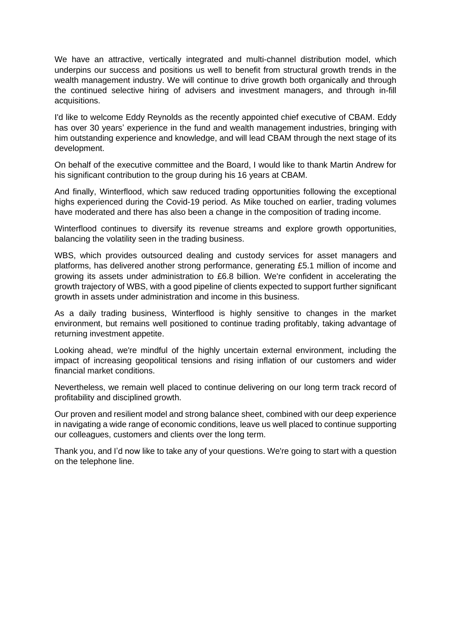We have an attractive, vertically integrated and multi-channel distribution model, which underpins our success and positions us well to benefit from structural growth trends in the wealth management industry. We will continue to drive growth both organically and through the continued selective hiring of advisers and investment managers, and through in-fill acquisitions.

I'd like to welcome Eddy Reynolds as the recently appointed chief executive of CBAM. Eddy has over 30 years' experience in the fund and wealth management industries, bringing with him outstanding experience and knowledge, and will lead CBAM through the next stage of its development.

On behalf of the executive committee and the Board, I would like to thank Martin Andrew for his significant contribution to the group during his 16 years at CBAM.

And finally, Winterflood, which saw reduced trading opportunities following the exceptional highs experienced during the Covid-19 period. As Mike touched on earlier, trading volumes have moderated and there has also been a change in the composition of trading income.

Winterflood continues to diversify its revenue streams and explore growth opportunities, balancing the volatility seen in the trading business.

WBS, which provides outsourced dealing and custody services for asset managers and platforms, has delivered another strong performance, generating £5.1 million of income and growing its assets under administration to £6.8 billion. We're confident in accelerating the growth trajectory of WBS, with a good pipeline of clients expected to support further significant growth in assets under administration and income in this business.

As a daily trading business, Winterflood is highly sensitive to changes in the market environment, but remains well positioned to continue trading profitably, taking advantage of returning investment appetite.

Looking ahead, we're mindful of the highly uncertain external environment, including the impact of increasing geopolitical tensions and rising inflation of our customers and wider financial market conditions.

Nevertheless, we remain well placed to continue delivering on our long term track record of profitability and disciplined growth.

Our proven and resilient model and strong balance sheet, combined with our deep experience in navigating a wide range of economic conditions, leave us well placed to continue supporting our colleagues, customers and clients over the long term.

Thank you, and I'd now like to take any of your questions. We're going to start with a question on the telephone line.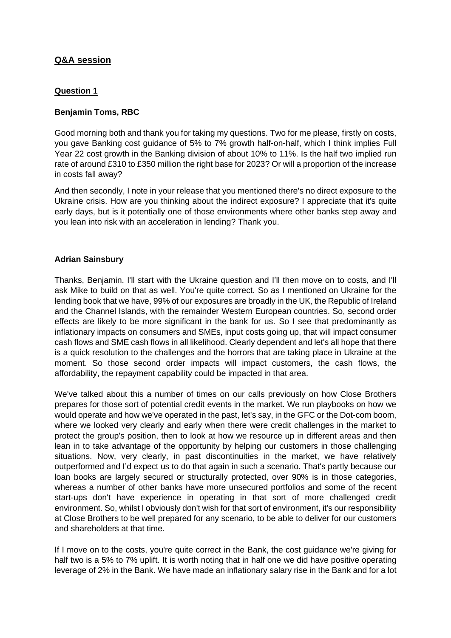# **Q&A session**

## **Question 1**

## **Benjamin Toms, RBC**

Good morning both and thank you for taking my questions. Two for me please, firstly on costs, you gave Banking cost guidance of 5% to 7% growth half-on-half, which I think implies Full Year 22 cost growth in the Banking division of about 10% to 11%. Is the half two implied run rate of around £310 to £350 million the right base for 2023? Or will a proportion of the increase in costs fall away?

And then secondly, I note in your release that you mentioned there's no direct exposure to the Ukraine crisis. How are you thinking about the indirect exposure? I appreciate that it's quite early days, but is it potentially one of those environments where other banks step away and you lean into risk with an acceleration in lending? Thank you.

## **Adrian Sainsbury**

Thanks, Benjamin. I'll start with the Ukraine question and I'll then move on to costs, and I'll ask Mike to build on that as well. You're quite correct. So as I mentioned on Ukraine for the lending book that we have, 99% of our exposures are broadly in the UK, the Republic of Ireland and the Channel Islands, with the remainder Western European countries. So, second order effects are likely to be more significant in the bank for us. So I see that predominantly as inflationary impacts on consumers and SMEs, input costs going up, that will impact consumer cash flows and SME cash flows in all likelihood. Clearly dependent and let's all hope that there is a quick resolution to the challenges and the horrors that are taking place in Ukraine at the moment. So those second order impacts will impact customers, the cash flows, the affordability, the repayment capability could be impacted in that area.

We've talked about this a number of times on our calls previously on how Close Brothers prepares for those sort of potential credit events in the market. We run playbooks on how we would operate and how we've operated in the past, let's say, in the GFC or the Dot-com boom, where we looked very clearly and early when there were credit challenges in the market to protect the group's position, then to look at how we resource up in different areas and then lean in to take advantage of the opportunity by helping our customers in those challenging situations. Now, very clearly, in past discontinuities in the market, we have relatively outperformed and I'd expect us to do that again in such a scenario. That's partly because our loan books are largely secured or structurally protected, over 90% is in those categories, whereas a number of other banks have more unsecured portfolios and some of the recent start-ups don't have experience in operating in that sort of more challenged credit environment. So, whilst I obviously don't wish for that sort of environment, it's our responsibility at Close Brothers to be well prepared for any scenario, to be able to deliver for our customers and shareholders at that time.

If I move on to the costs, you're quite correct in the Bank, the cost guidance we're giving for half two is a 5% to 7% uplift. It is worth noting that in half one we did have positive operating leverage of 2% in the Bank. We have made an inflationary salary rise in the Bank and for a lot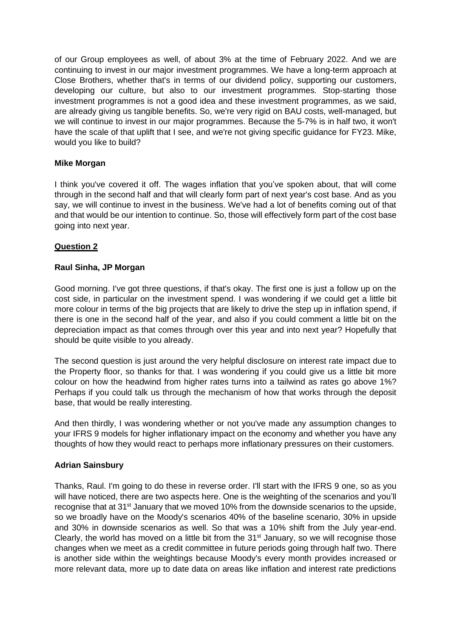of our Group employees as well, of about 3% at the time of February 2022. And we are continuing to invest in our major investment programmes. We have a long-term approach at Close Brothers, whether that's in terms of our dividend policy, supporting our customers, developing our culture, but also to our investment programmes. Stop-starting those investment programmes is not a good idea and these investment programmes, as we said, are already giving us tangible benefits. So, we're very rigid on BAU costs, well-managed, but we will continue to invest in our major programmes. Because the 5-7% is in half two, it won't have the scale of that uplift that I see, and we're not giving specific guidance for FY23. Mike, would you like to build?

## **Mike Morgan**

I think you've covered it off. The wages inflation that you've spoken about, that will come through in the second half and that will clearly form part of next year's cost base. And as you say, we will continue to invest in the business. We've had a lot of benefits coming out of that and that would be our intention to continue. So, those will effectively form part of the cost base going into next year.

## **Question 2**

## **Raul Sinha, JP Morgan**

Good morning. I've got three questions, if that's okay. The first one is just a follow up on the cost side, in particular on the investment spend. I was wondering if we could get a little bit more colour in terms of the big projects that are likely to drive the step up in inflation spend, if there is one in the second half of the year, and also if you could comment a little bit on the depreciation impact as that comes through over this year and into next year? Hopefully that should be quite visible to you already.

The second question is just around the very helpful disclosure on interest rate impact due to the Property floor, so thanks for that. I was wondering if you could give us a little bit more colour on how the headwind from higher rates turns into a tailwind as rates go above 1%? Perhaps if you could talk us through the mechanism of how that works through the deposit base, that would be really interesting.

And then thirdly, I was wondering whether or not you've made any assumption changes to your IFRS 9 models for higher inflationary impact on the economy and whether you have any thoughts of how they would react to perhaps more inflationary pressures on their customers.

## **Adrian Sainsbury**

Thanks, Raul. I'm going to do these in reverse order. I'll start with the IFRS 9 one, so as you will have noticed, there are two aspects here. One is the weighting of the scenarios and you'll recognise that at 31<sup>st</sup> January that we moved 10% from the downside scenarios to the upside, so we broadly have on the Moody's scenarios 40% of the baseline scenario, 30% in upside and 30% in downside scenarios as well. So that was a 10% shift from the July year-end. Clearly, the world has moved on a little bit from the  $31<sup>st</sup>$  January, so we will recognise those changes when we meet as a credit committee in future periods going through half two. There is another side within the weightings because Moody's every month provides increased or more relevant data, more up to date data on areas like inflation and interest rate predictions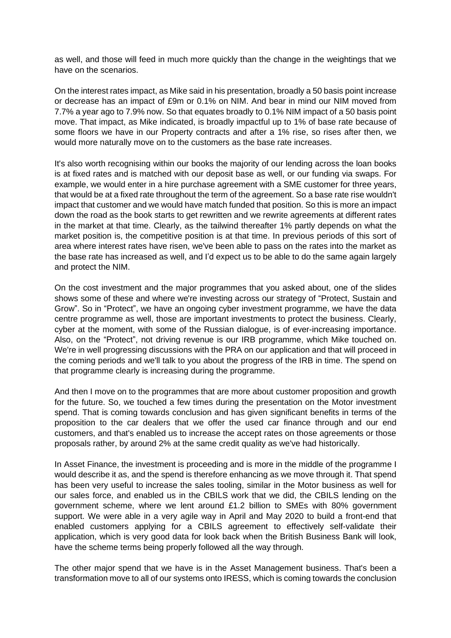as well, and those will feed in much more quickly than the change in the weightings that we have on the scenarios.

On the interest rates impact, as Mike said in his presentation, broadly a 50 basis point increase or decrease has an impact of £9m or 0.1% on NIM. And bear in mind our NIM moved from 7.7% a year ago to 7.9% now. So that equates broadly to 0.1% NIM impact of a 50 basis point move. That impact, as Mike indicated, is broadly impactful up to 1% of base rate because of some floors we have in our Property contracts and after a 1% rise, so rises after then, we would more naturally move on to the customers as the base rate increases.

It's also worth recognising within our books the majority of our lending across the loan books is at fixed rates and is matched with our deposit base as well, or our funding via swaps. For example, we would enter in a hire purchase agreement with a SME customer for three years, that would be at a fixed rate throughout the term of the agreement. So a base rate rise wouldn't impact that customer and we would have match funded that position. So this is more an impact down the road as the book starts to get rewritten and we rewrite agreements at different rates in the market at that time. Clearly, as the tailwind thereafter 1% partly depends on what the market position is, the competitive position is at that time. In previous periods of this sort of area where interest rates have risen, we've been able to pass on the rates into the market as the base rate has increased as well, and I'd expect us to be able to do the same again largely and protect the NIM.

On the cost investment and the major programmes that you asked about, one of the slides shows some of these and where we're investing across our strategy of "Protect, Sustain and Grow". So in "Protect", we have an ongoing cyber investment programme, we have the data centre programme as well, those are important investments to protect the business. Clearly, cyber at the moment, with some of the Russian dialogue, is of ever-increasing importance. Also, on the "Protect", not driving revenue is our IRB programme, which Mike touched on. We're in well progressing discussions with the PRA on our application and that will proceed in the coming periods and we'll talk to you about the progress of the IRB in time. The spend on that programme clearly is increasing during the programme.

And then I move on to the programmes that are more about customer proposition and growth for the future. So, we touched a few times during the presentation on the Motor investment spend. That is coming towards conclusion and has given significant benefits in terms of the proposition to the car dealers that we offer the used car finance through and our end customers, and that's enabled us to increase the accept rates on those agreements or those proposals rather, by around 2% at the same credit quality as we've had historically.

In Asset Finance, the investment is proceeding and is more in the middle of the programme I would describe it as, and the spend is therefore enhancing as we move through it. That spend has been very useful to increase the sales tooling, similar in the Motor business as well for our sales force, and enabled us in the CBILS work that we did, the CBILS lending on the government scheme, where we lent around £1.2 billion to SMEs with 80% government support. We were able in a very agile way in April and May 2020 to build a front-end that enabled customers applying for a CBILS agreement to effectively self-validate their application, which is very good data for look back when the British Business Bank will look, have the scheme terms being properly followed all the way through.

The other major spend that we have is in the Asset Management business. That's been a transformation move to all of our systems onto IRESS, which is coming towards the conclusion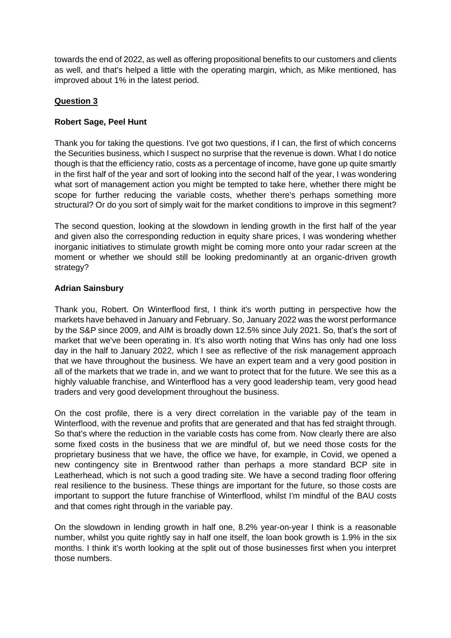towards the end of 2022, as well as offering propositional benefits to our customers and clients as well, and that's helped a little with the operating margin, which, as Mike mentioned, has improved about 1% in the latest period.

# **Question 3**

## **Robert Sage, Peel Hunt**

Thank you for taking the questions. I've got two questions, if I can, the first of which concerns the Securities business, which I suspect no surprise that the revenue is down. What I do notice though is that the efficiency ratio, costs as a percentage of income, have gone up quite smartly in the first half of the year and sort of looking into the second half of the year, I was wondering what sort of management action you might be tempted to take here, whether there might be scope for further reducing the variable costs, whether there's perhaps something more structural? Or do you sort of simply wait for the market conditions to improve in this segment?

The second question, looking at the slowdown in lending growth in the first half of the year and given also the corresponding reduction in equity share prices, I was wondering whether inorganic initiatives to stimulate growth might be coming more onto your radar screen at the moment or whether we should still be looking predominantly at an organic-driven growth strategy?

## **Adrian Sainsbury**

Thank you, Robert. On Winterflood first, I think it's worth putting in perspective how the markets have behaved in January and February. So, January 2022 was the worst performance by the S&P since 2009, and AIM is broadly down 12.5% since July 2021. So, that's the sort of market that we've been operating in. It's also worth noting that Wins has only had one loss day in the half to January 2022, which I see as reflective of the risk management approach that we have throughout the business. We have an expert team and a very good position in all of the markets that we trade in, and we want to protect that for the future. We see this as a highly valuable franchise, and Winterflood has a very good leadership team, very good head traders and very good development throughout the business.

On the cost profile, there is a very direct correlation in the variable pay of the team in Winterflood, with the revenue and profits that are generated and that has fed straight through. So that's where the reduction in the variable costs has come from. Now clearly there are also some fixed costs in the business that we are mindful of, but we need those costs for the proprietary business that we have, the office we have, for example, in Covid, we opened a new contingency site in Brentwood rather than perhaps a more standard BCP site in Leatherhead, which is not such a good trading site. We have a second trading floor offering real resilience to the business. These things are important for the future, so those costs are important to support the future franchise of Winterflood, whilst I'm mindful of the BAU costs and that comes right through in the variable pay.

On the slowdown in lending growth in half one, 8.2% year-on-year I think is a reasonable number, whilst you quite rightly say in half one itself, the loan book growth is 1.9% in the six months. I think it's worth looking at the split out of those businesses first when you interpret those numbers.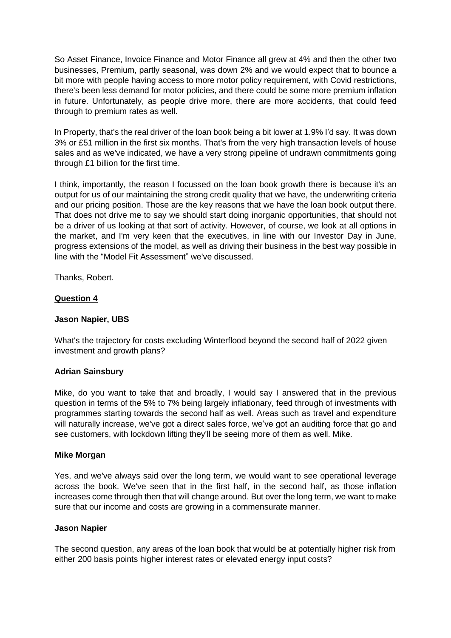So Asset Finance, Invoice Finance and Motor Finance all grew at 4% and then the other two businesses, Premium, partly seasonal, was down 2% and we would expect that to bounce a bit more with people having access to more motor policy requirement, with Covid restrictions, there's been less demand for motor policies, and there could be some more premium inflation in future. Unfortunately, as people drive more, there are more accidents, that could feed through to premium rates as well.

In Property, that's the real driver of the loan book being a bit lower at 1.9% I'd say. It was down 3% or £51 million in the first six months. That's from the very high transaction levels of house sales and as we've indicated, we have a very strong pipeline of undrawn commitments going through £1 billion for the first time.

I think, importantly, the reason I focussed on the loan book growth there is because it's an output for us of our maintaining the strong credit quality that we have, the underwriting criteria and our pricing position. Those are the key reasons that we have the loan book output there. That does not drive me to say we should start doing inorganic opportunities, that should not be a driver of us looking at that sort of activity. However, of course, we look at all options in the market, and I'm very keen that the executives, in line with our Investor Day in June, progress extensions of the model, as well as driving their business in the best way possible in line with the "Model Fit Assessment" we've discussed.

Thanks, Robert.

## **Question 4**

## **Jason Napier, UBS**

What's the trajectory for costs excluding Winterflood beyond the second half of 2022 given investment and growth plans?

# **Adrian Sainsbury**

Mike, do you want to take that and broadly, I would say I answered that in the previous question in terms of the 5% to 7% being largely inflationary, feed through of investments with programmes starting towards the second half as well. Areas such as travel and expenditure will naturally increase, we've got a direct sales force, we've got an auditing force that go and see customers, with lockdown lifting they'll be seeing more of them as well. Mike.

## **Mike Morgan**

Yes, and we've always said over the long term, we would want to see operational leverage across the book. We've seen that in the first half, in the second half, as those inflation increases come through then that will change around. But over the long term, we want to make sure that our income and costs are growing in a commensurate manner.

## **Jason Napier**

The second question, any areas of the loan book that would be at potentially higher risk from either 200 basis points higher interest rates or elevated energy input costs?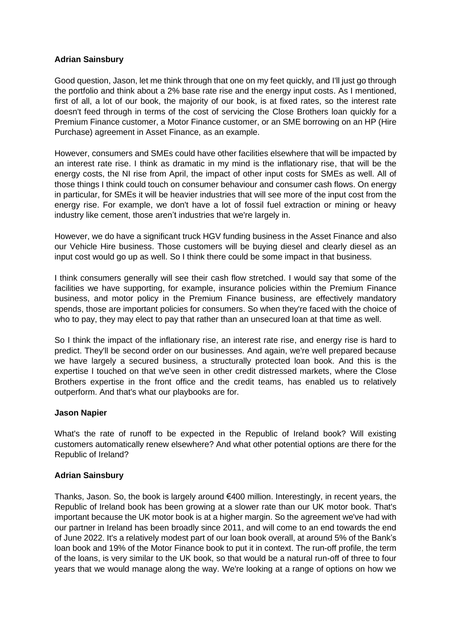## **Adrian Sainsbury**

Good question, Jason, let me think through that one on my feet quickly, and I'll just go through the portfolio and think about a 2% base rate rise and the energy input costs. As I mentioned, first of all, a lot of our book, the majority of our book, is at fixed rates, so the interest rate doesn't feed through in terms of the cost of servicing the Close Brothers loan quickly for a Premium Finance customer, a Motor Finance customer, or an SME borrowing on an HP (Hire Purchase) agreement in Asset Finance, as an example.

However, consumers and SMEs could have other facilities elsewhere that will be impacted by an interest rate rise. I think as dramatic in my mind is the inflationary rise, that will be the energy costs, the NI rise from April, the impact of other input costs for SMEs as well. All of those things I think could touch on consumer behaviour and consumer cash flows. On energy in particular, for SMEs it will be heavier industries that will see more of the input cost from the energy rise. For example, we don't have a lot of fossil fuel extraction or mining or heavy industry like cement, those aren't industries that we're largely in.

However, we do have a significant truck HGV funding business in the Asset Finance and also our Vehicle Hire business. Those customers will be buying diesel and clearly diesel as an input cost would go up as well. So I think there could be some impact in that business.

I think consumers generally will see their cash flow stretched. I would say that some of the facilities we have supporting, for example, insurance policies within the Premium Finance business, and motor policy in the Premium Finance business, are effectively mandatory spends, those are important policies for consumers. So when they're faced with the choice of who to pay, they may elect to pay that rather than an unsecured loan at that time as well.

So I think the impact of the inflationary rise, an interest rate rise, and energy rise is hard to predict. They'll be second order on our businesses. And again, we're well prepared because we have largely a secured business, a structurally protected loan book. And this is the expertise I touched on that we've seen in other credit distressed markets, where the Close Brothers expertise in the front office and the credit teams, has enabled us to relatively outperform. And that's what our playbooks are for.

## **Jason Napier**

What's the rate of runoff to be expected in the Republic of Ireland book? Will existing customers automatically renew elsewhere? And what other potential options are there for the Republic of Ireland?

# **Adrian Sainsbury**

Thanks, Jason. So, the book is largely around €400 million. Interestingly, in recent years, the Republic of Ireland book has been growing at a slower rate than our UK motor book. That's important because the UK motor book is at a higher margin. So the agreement we've had with our partner in Ireland has been broadly since 2011, and will come to an end towards the end of June 2022. It's a relatively modest part of our loan book overall, at around 5% of the Bank's loan book and 19% of the Motor Finance book to put it in context. The run-off profile, the term of the loans, is very similar to the UK book, so that would be a natural run-off of three to four years that we would manage along the way. We're looking at a range of options on how we